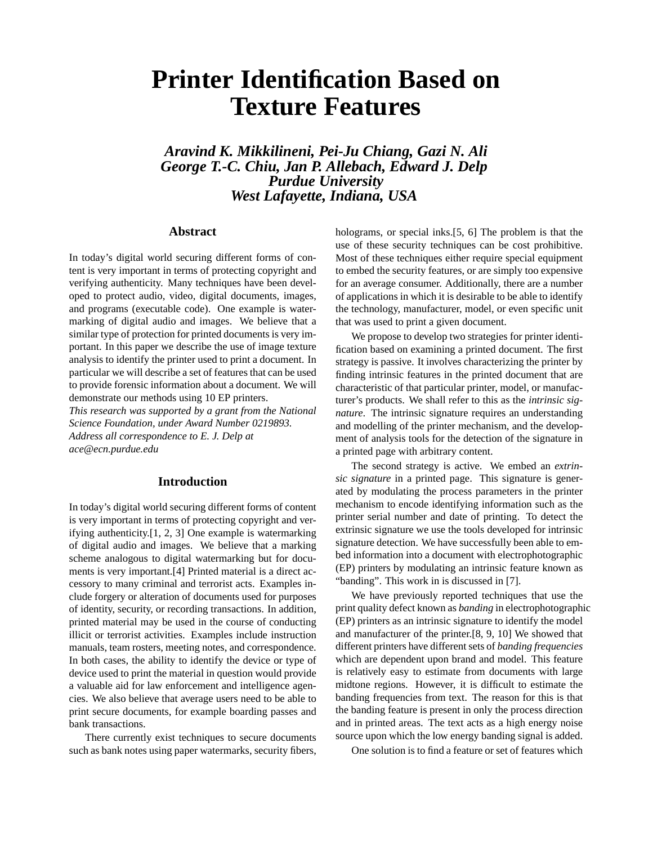# **Printer Identification Based on Texture Features**

*Aravind K. Mikkilineni, Pei-Ju Chiang, Gazi N. Ali George T.-C. Chiu, Jan P. Allebach, Edward J. Delp Purdue University West Lafayette, Indiana, USA*

## **Abstract**

In today's digital world securing different forms of content is very important in terms of protecting copyright and verifying authenticity. Many techniques have been developed to protect audio, video, digital documents, images, and programs (executable code). One example is watermarking of digital audio and images. We believe that a similar type of protection for printed documents is very important. In this paper we describe the use of image texture analysis to identify the printer used to print a document. In particular we will describe a set of features that can be used to provide forensic information about a document. We will demonstrate our methods using 10 EP printers.

*This research was supported by a grant from the National Science Foundation, under Award Number 0219893. Address all correspondence to E. J. Delp at ace@ecn.purdue.edu*

# **Introduction**

In today's digital world securing different forms of content is very important in terms of protecting copyright and verifying authenticity.[1, 2, 3] One example is watermarking of digital audio and images. We believe that a marking scheme analogous to digital watermarking but for documents is very important.[4] Printed material is a direct accessory to many criminal and terrorist acts. Examples include forgery or alteration of documents used for purposes of identity, security, or recording transactions. In addition, printed material may be used in the course of conducting illicit or terrorist activities. Examples include instruction manuals, team rosters, meeting notes, and correspondence. In both cases, the ability to identify the device or type of device used to print the material in question would provide a valuable aid for law enforcement and intelligence agencies. We also believe that average users need to be able to print secure documents, for example boarding passes and bank transactions.

There currently exist techniques to secure documents such as bank notes using paper watermarks, security fibers, holograms, or special inks.[5, 6] The problem is that the use of these security techniques can be cost prohibitive. Most of these techniques either require special equipment to embed the security features, or are simply too expensive for an average consumer. Additionally, there are a number of applications in which it is desirable to be able to identify the technology, manufacturer, model, or even specific unit that was used to print a given document.

We propose to develop two strategies for printer identification based on examining a printed document. The first strategy is passive. It involves characterizing the printer by finding intrinsic features in the printed document that are characteristic of that particular printer, model, or manufacturer's products. We shall refer to this as the *intrinsic signature*. The intrinsic signature requires an understanding and modelling of the printer mechanism, and the development of analysis tools for the detection of the signature in a printed page with arbitrary content.

The second strategy is active. We embed an *extrinsic signature* in a printed page. This signature is generated by modulating the process parameters in the printer mechanism to encode identifying information such as the printer serial number and date of printing. To detect the extrinsic signature we use the tools developed for intrinsic signature detection. We have successfully been able to embed information into a document with electrophotographic (EP) printers by modulating an intrinsic feature known as "banding". This work in is discussed in [7].

We have previously reported techniques that use the print quality defect known as *banding* in electrophotographic (EP) printers as an intrinsic signature to identify the model and manufacturer of the printer.[8, 9, 10] We showed that different printers have different sets of *banding frequencies* which are dependent upon brand and model. This feature is relatively easy to estimate from documents with large midtone regions. However, it is difficult to estimate the banding frequencies from text. The reason for this is that the banding feature is present in only the process direction and in printed areas. The text acts as a high energy noise source upon which the low energy banding signal is added.

One solution is to find a feature or set of features which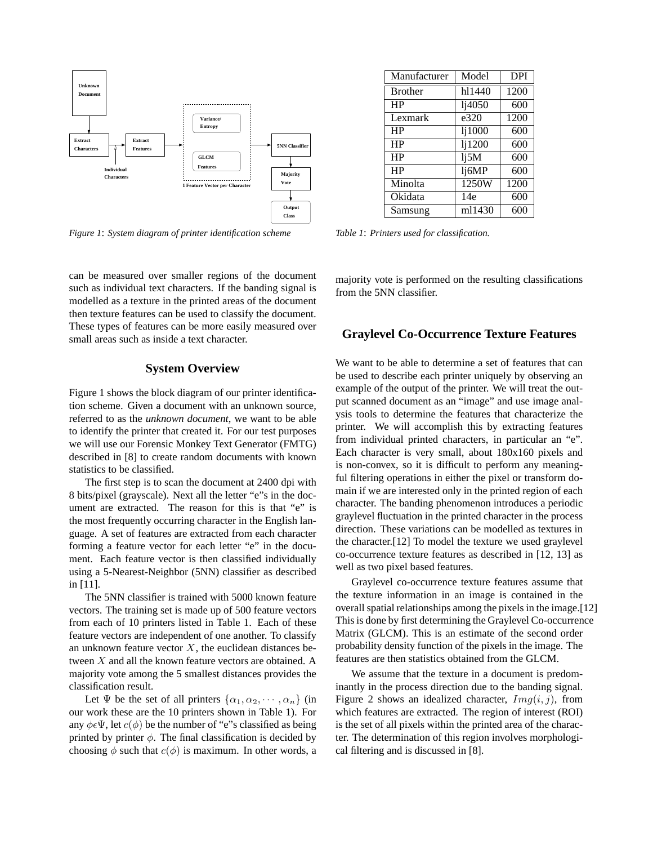

*Figure 1*: *System diagram of printer identification scheme*

can be measured over smaller regions of the document such as individual text characters. If the banding signal is modelled as a texture in the printed areas of the document then texture features can be used to classify the document. These types of features can be more easily measured over small areas such as inside a text character.

#### **System Overview**

Figure 1 shows the block diagram of our printer identification scheme. Given a document with an unknown source, referred to as the *unknown document*, we want to be able to identify the printer that created it. For our test purposes we will use our Forensic Monkey Text Generator (FMTG) described in [8] to create random documents with known statistics to be classified.

The first step is to scan the document at 2400 dpi with 8 bits/pixel (grayscale). Next all the letter "e"s in the document are extracted. The reason for this is that "e" is the most frequently occurring character in the English language. A set of features are extracted from each character forming a feature vector for each letter "e" in the document. Each feature vector is then classified individually using a 5-Nearest-Neighbor (5NN) classifier as described in [11].

The 5NN classifier is trained with 5000 known feature vectors. The training set is made up of 500 feature vectors from each of 10 printers listed in Table 1. Each of these feature vectors are independent of one another. To classify an unknown feature vector  $X$ , the euclidean distances between X and all the known feature vectors are obtained. A majority vote among the 5 smallest distances provides the classification result.

Let  $\Psi$  be the set of all printers  $\{\alpha_1, \alpha_2, \cdots, \alpha_n\}$  (in our work these are the 10 printers shown in Table 1). For any  $\phi \in \Psi$ , let  $c(\phi)$  be the number of "e"s classified as being printed by printer  $\phi$ . The final classification is decided by choosing  $\phi$  such that  $c(\phi)$  is maximum. In other words, a

| Manufacturer   | Model             | <b>DPI</b> |
|----------------|-------------------|------------|
| <b>Brother</b> | h11440            | 1200       |
| HP             | 1j4050            | 600        |
| Lexmark        | $e\overline{320}$ | 1200       |
| HP             | 1j1000            | 600        |
| HP             | 1j1200            | 600        |
| HP             | 1j5M              | 600        |
| HP             | lj6MP             | 600        |
| Minolta        | 1250W             | 1200       |
| Okidata        | 14e               | 600        |
| Samsung        | m11430            | 600        |

*Table 1*: *Printers used for classification.*

majority vote is performed on the resulting classifications from the 5NN classifier.

### **Graylevel Co-Occurrence Texture Features**

We want to be able to determine a set of features that can be used to describe each printer uniquely by observing an example of the output of the printer. We will treat the output scanned document as an "image" and use image analysis tools to determine the features that characterize the printer. We will accomplish this by extracting features from individual printed characters, in particular an "e". Each character is very small, about 180x160 pixels and is non-convex, so it is difficult to perform any meaningful filtering operations in either the pixel or transform domain if we are interested only in the printed region of each character. The banding phenomenon introduces a periodic graylevel fluctuation in the printed character in the process direction. These variations can be modelled as textures in the character.[12] To model the texture we used graylevel co-occurrence texture features as described in [12, 13] as well as two pixel based features.

Graylevel co-occurrence texture features assume that the texture information in an image is contained in the overall spatial relationships among the pixels in the image.[12] This is done by first determining the Graylevel Co-occurrence Matrix (GLCM). This is an estimate of the second order probability density function of the pixels in the image. The features are then statistics obtained from the GLCM.

We assume that the texture in a document is predominantly in the process direction due to the banding signal. Figure 2 shows an idealized character,  $Img(i, j)$ , from which features are extracted. The region of interest (ROI) is the set of all pixels within the printed area of the character. The determination of this region involves morphological filtering and is discussed in [8].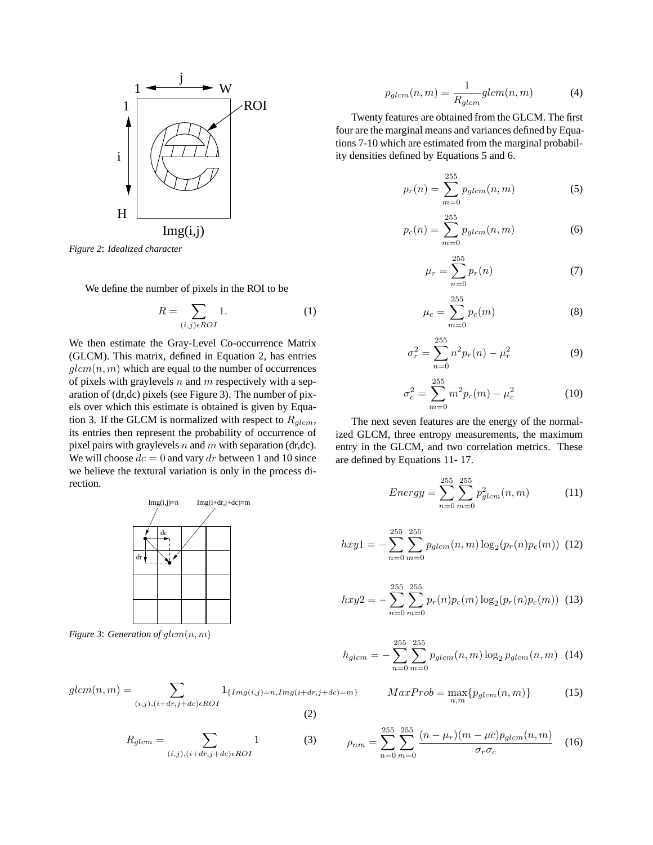

*Figure 2*: *Idealized character*

We define the number of pixels in the ROI to be

$$
R = \sum_{(i,j)\in ROI} 1.
$$
 (1)

We then estimate the Gray-Level Co-occurrence Matrix (GLCM). This matrix, defined in Equation 2, has entries  $glcm(n, m)$  which are equal to the number of occurrences of pixels with graylevels  $n$  and  $m$  respectively with a separation of (dr,dc) pixels (see Figure 3). The number of pixels over which this estimate is obtained is given by Equation 3. If the GLCM is normalized with respect to  $R_{glcm}$ , its entries then represent the probability of occurrence of pixel pairs with graylevels  $n$  and  $m$  with separation (dr,dc). We will choose  $dc = 0$  and vary dr between 1 and 10 since we believe the textural variation is only in the process direction.



 $(i,j),(i+dr,j+dc)\in ROI$ 

*Figure 3: Generation of*  $glcm(n, m)$ 

 $glcm(n,m) = \sum$ 

$$
p_{glcm}(n,m) = \frac{1}{R_{glcm}}glcm(n,m)
$$
 (4)

Twenty features are obtained from the GLCM. The first four are the marginal means and variances defined by Equations 7-10 which are estimated from the marginal probability densities defined by Equations 5 and 6.

$$
p_r(n) = \sum_{m=0}^{255} p_{glcm}(n, m)
$$
 (5)

$$
p_c(n) = \sum_{m=0}^{255} p_{glcm}(n, m)
$$
 (6)

$$
\mu_r = \sum_{n=0}^{255} p_r(n) \tag{7}
$$

$$
\mu_c = \sum_{m=0}^{255} p_c(m) \tag{8}
$$

$$
\sigma_r^2 = \sum_{n=0}^{255} n^2 p_r(n) - \mu_r^2 \tag{9}
$$

$$
\sigma_c^2 = \sum_{m=0}^{255} m^2 p_c(m) - \mu_c^2 \tag{10}
$$

The next seven features are the energy of the normalized GLCM, three entropy measurements, the maximum entry in the GLCM, and two correlation metrics. These are defined by Equations 11- 17.

$$
Energy = \sum_{n=0}^{255} \sum_{m=0}^{255} p_{glem}^2(n, m)
$$
 (11)

$$
hxy1 = -\sum_{n=0}^{255} \sum_{m=0}^{255} p_{glcm}(n, m) \log_2(p_r(n)p_c(m)) \tag{12}
$$

$$
hxy2 = -\sum_{n=0}^{255} \sum_{m=0}^{255} p_r(n) p_c(m) \log_2(p_r(n) p_c(m)) \tag{13}
$$

$$
h_{glcm} = -\sum_{n=0}^{255} \sum_{m=0}^{255} p_{glcm}(n, m) \log_2 p_{glcm}(n, m) \tag{14}
$$

$$
MaxProb = \max_{n,m} \{p_{glcm}(n,m)\}
$$
 (15)

$$
R_{glcm} = \sum_{(i,j),(i+dr,j+dc)\in ROI} 1 \tag{3}
$$

 $1_{\{Img(i,j)=n,Img(i+dr,j+dc)=m\}}$ 

(2)

$$
\rho_{nm} = \sum_{n=0}^{255} \sum_{m=0}^{255} \frac{(n - \mu_r)(m - \mu c)p_{glcm}(n, m)}{\sigma_r \sigma_c}
$$
 (16)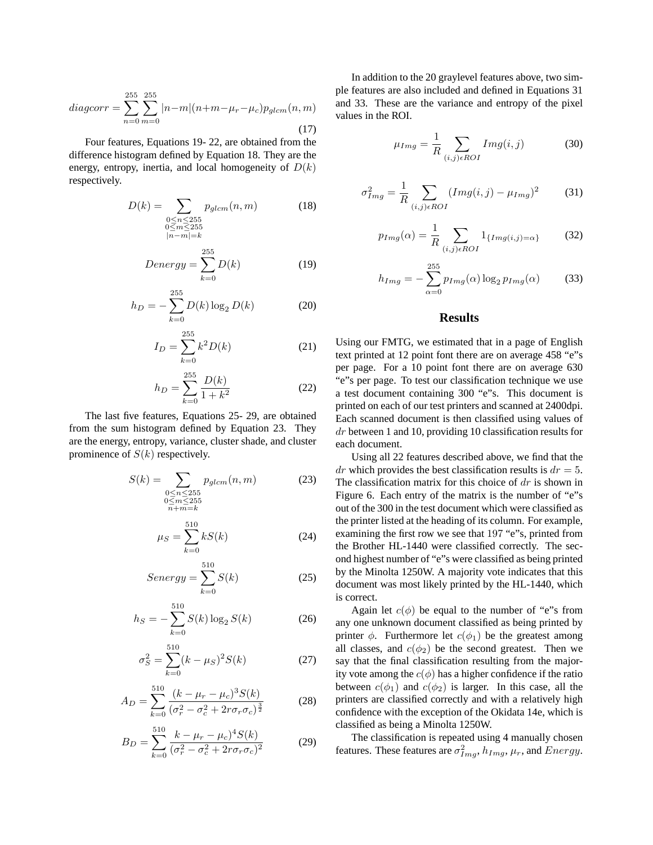$$
diagcorr = \sum_{n=0}^{255} \sum_{m=0}^{255} |n-m|(n+m-\mu_r-\mu_c)p_{glcm}(n,m)
$$
\n(17)

Four features, Equations 19- 22, are obtained from the difference histogram defined by Equation 18. They are the energy, entropy, inertia, and local homogeneity of  $D(k)$ respectively.

$$
D(k) = \sum_{\substack{0 \le n \le 255 \\ 0 \le m \le 255 \\ |n-m| = k}} p_{glcm}(n, m)
$$
(18)

$$
Denergy = \sum_{k=0}^{255} D(k)
$$
 (19)

$$
h_D = -\sum_{k=0}^{255} D(k) \log_2 D(k)
$$
 (20)

$$
I_D = \sum_{k=0}^{255} k^2 D(k)
$$
 (21)

$$
h_D = \sum_{k=0}^{255} \frac{D(k)}{1+k^2}
$$
 (22)

The last five features, Equations 25- 29, are obtained from the sum histogram defined by Equation 23. They are the energy, entropy, variance, cluster shade, and cluster prominence of  $S(k)$  respectively.

$$
S(k) = \sum_{\substack{0 \le n \le 255 \\ 0 \le m \le 255 \\ n + m = k}} p_{glcm}(n, m) \tag{23}
$$

$$
\mu_S = \sum_{k=0}^{510} kS(k) \tag{24}
$$

$$
Senergy = \sum_{k=0}^{510} S(k)
$$
 (25)

$$
h_S = -\sum_{k=0}^{510} S(k) \log_2 S(k)
$$
 (26)

$$
\sigma_S^2 = \sum_{k=0}^{510} (k - \mu_S)^2 S(k) \tag{27}
$$

$$
A_D = \sum_{k=0}^{510} \frac{(k - \mu_r - \mu_c)^3 S(k)}{(\sigma_r^2 - \sigma_c^2 + 2r\sigma_r \sigma_c)^{\frac{3}{2}}}
$$
(28)

$$
B_D = \sum_{k=0}^{510} \frac{k - \mu_r - \mu_c)^4 S(k)}{(\sigma_r^2 - \sigma_c^2 + 2r\sigma_r \sigma_c)^2}
$$
(29)

In addition to the 20 graylevel features above, two simple features are also included and defined in Equations 31 and 33. These are the variance and entropy of the pixel values in the ROI.

$$
\mu_{Img} = \frac{1}{R} \sum_{(i,j)\in ROI} Img(i,j) \tag{30}
$$

$$
\sigma_{Img}^2 = \frac{1}{R} \sum_{(i,j)\in ROI} (Img(i,j) - \mu_{Img})^2
$$
 (31)

$$
p_{Img}(\alpha) = \frac{1}{R} \sum_{(i,j) \in ROI} 1_{\{Img(i,j) = \alpha\}} \tag{32}
$$

$$
h_{Img} = -\sum_{\alpha=0}^{255} p_{Img}(\alpha) \log_2 p_{Img}(\alpha) \tag{33}
$$

#### **Results**

Using our FMTG, we estimated that in a page of English text printed at 12 point font there are on average 458 "e"s per page. For a 10 point font there are on average 630 "e"s per page. To test our classification technique we use a test document containing 300 "e"s. This document is printed on each of our test printers and scanned at 2400dpi. Each scanned document is then classified using values of dr between 1 and 10, providing 10 classification results for each document.

Using all 22 features described above, we find that the dr which provides the best classification results is  $dr = 5$ . The classification matrix for this choice of  $dr$  is shown in Figure 6. Each entry of the matrix is the number of "e"s out of the 300 in the test document which were classified as the printer listed at the heading of its column. For example, examining the first row we see that 197 "e"s, printed from the Brother HL-1440 were classified correctly. The second highest number of "e"s were classified as being printed by the Minolta 1250W. A majority vote indicates that this document was most likely printed by the HL-1440, which is correct.

Again let  $c(\phi)$  be equal to the number of "e"s from any one unknown document classified as being printed by printer  $\phi$ . Furthermore let  $c(\phi_1)$  be the greatest among all classes, and  $c(\phi_2)$  be the second greatest. Then we say that the final classification resulting from the majority vote among the  $c(\phi)$  has a higher confidence if the ratio between  $c(\phi_1)$  and  $c(\phi_2)$  is larger. In this case, all the printers are classified correctly and with a relatively high confidence with the exception of the Okidata 14e, which is classified as being a Minolta 1250W.

The classification is repeated using 4 manually chosen features. These features are  $\sigma_{Img}^2$ ,  $h_{Img}$ ,  $\mu_r$ , and  $Energy$ .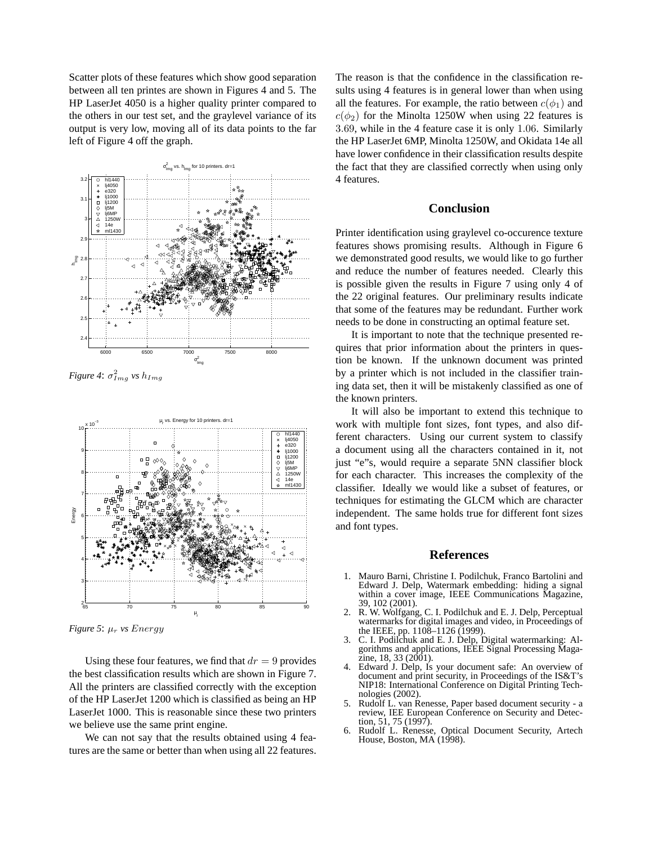Scatter plots of these features which show good separation between all ten printes are shown in Figures 4 and 5. The HP LaserJet 4050 is a higher quality printer compared to the others in our test set, and the graylevel variance of its output is very low, moving all of its data points to the far left of Figure 4 off the graph.



*Figure 4:*  $\sigma_{Img}^2$  *vs*  $h_{Img}$ 



*Figure 5:*  $\mu_r$  *vs Energy* 

Using these four features, we find that  $dr = 9$  provides the best classification results which are shown in Figure 7. All the printers are classified correctly with the exception of the HP LaserJet 1200 which is classified as being an HP LaserJet 1000. This is reasonable since these two printers we believe use the same print engine.

We can not say that the results obtained using 4 features are the same or better than when using all 22 features. The reason is that the confidence in the classification results using 4 features is in general lower than when using all the features. For example, the ratio between  $c(\phi_1)$  and  $c(\phi_2)$  for the Minolta 1250W when using 22 features is 3.69, while in the 4 feature case it is only 1.06. Similarly the HP LaserJet 6MP, Minolta 1250W, and Okidata 14e all have lower confidence in their classification results despite the fact that they are classified correctly when using only 4 features.

#### **Conclusion**

Printer identification using graylevel co-occurence texture features shows promising results. Although in Figure 6 we demonstrated good results, we would like to go further and reduce the number of features needed. Clearly this is possible given the results in Figure 7 using only 4 of the 22 original features. Our preliminary results indicate that some of the features may be redundant. Further work needs to be done in constructing an optimal feature set.

It is important to note that the technique presented requires that prior information about the printers in question be known. If the unknown document was printed by a printer which is not included in the classifier training data set, then it will be mistakenly classified as one of the known printers.

It will also be important to extend this technique to work with multiple font sizes, font types, and also different characters. Using our current system to classify a document using all the characters contained in it, not just "e"s, would require a separate 5NN classifier block for each character. This increases the complexity of the classifier. Ideally we would like a subset of features, or techniques for estimating the GLCM which are character independent. The same holds true for different font sizes and font types.

#### **References**

- 1. Mauro Barni, Christine I. Podilchuk, Franco Bartolini and Edward J. Delp, Watermark embedding: hiding a signal within a cover image, IEEE Communications Magazine, 39, 102 (2001).
- 2. R. W. Wolfgang, C. I. Podilchuk and E. J. Delp, Perceptual watermarks for digital images and video, in Proceedings of the IEEE, pp. 1108-1126 (1999).
- 3. C. I. Podilchuk and E. J. Delp, Digital watermarking: Algorithms and applications, IEEE Signal Processing Magazine, 18, 33 (2001).
- 4. Edward J. Delp, Is your document safe: An overview of document and print security, in Proceedings of the IS&T's NIP18: International Conference on Digital Printing Technologies (2002).
- 5. Rudolf L. van Renesse, Paper based document security a review, IEE European Conference on Security and Detection, 51, 75 (1997).
- 6. Rudolf L. Renesse, Optical Document Security, Artech House, Boston, MA (1998).